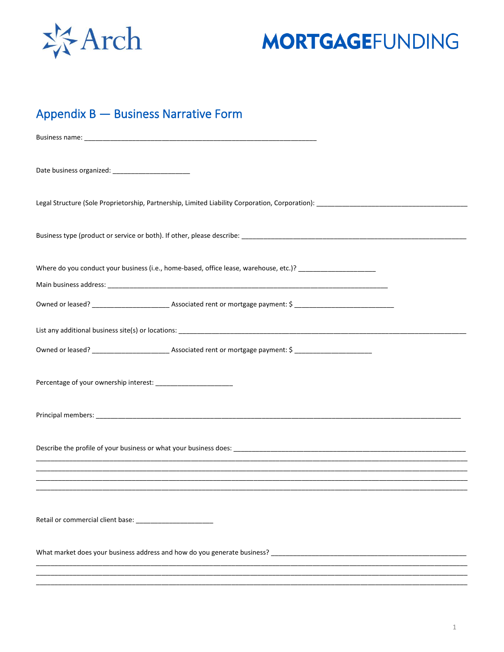

## **MORTGAGEFUNDING**

## Appendix B - Business Narrative Form

| Date business organized: _________________________ |                                                                                                               |  |
|----------------------------------------------------|---------------------------------------------------------------------------------------------------------------|--|
|                                                    |                                                                                                               |  |
|                                                    |                                                                                                               |  |
|                                                    | Where do you conduct your business (i.e., home-based, office lease, warehouse, etc.)? _______________________ |  |
|                                                    |                                                                                                               |  |
|                                                    |                                                                                                               |  |
|                                                    |                                                                                                               |  |
|                                                    |                                                                                                               |  |
|                                                    |                                                                                                               |  |
|                                                    |                                                                                                               |  |
|                                                    |                                                                                                               |  |
|                                                    |                                                                                                               |  |
|                                                    |                                                                                                               |  |